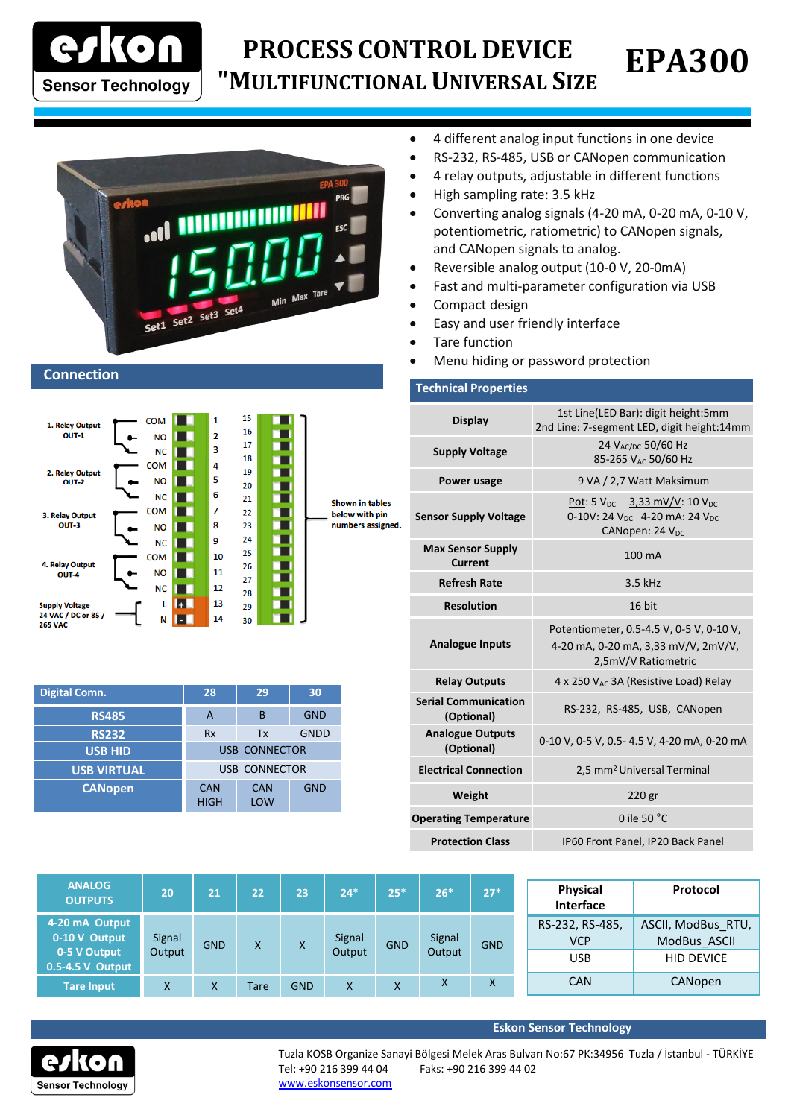

## **EPA300 PROCESS CONTROL DEVICE "MULTIFUNCTIONAL UNIVERSAL SIZE**

**CONTROLLER"**



## **Connection**



| <b>Digital Comn.</b> | 28                   | 29                | 30          |
|----------------------|----------------------|-------------------|-------------|
| <b>RS485</b>         | А                    | B                 | <b>GND</b>  |
| <b>RS232</b>         | <b>Rx</b>            | Tx                | <b>GNDD</b> |
| <b>USB HID</b>       | <b>USB CONNECTOR</b> |                   |             |
| <b>USB VIRTUAL</b>   | <b>USB CONNECTOR</b> |                   |             |
| <b>CANopen</b>       | CAN<br><b>HIGH</b>   | <b>CAN</b><br>LOW | <b>GND</b>  |

- 4 different analog input functions in one device
- RS-232, RS-485, USB or CANopen communication
- 4 relay outputs, adjustable in different functions
- High sampling rate: 3.5 kHz
- Converting analog signals (4-20 mA, 0-20 mA, 0-10 V, potentiometric, ratiometric) to CANopen signals, and CANopen signals to analog.
- Reversible analog output (10-0 V, 20-0mA)
- Fast and multi-parameter configuration via USB
- Compact design
- Easy and user friendly interface
- Tare function
- Menu hiding or password protection

## **Technical Properties Display** 1st Line(LED Bar): digit height:5mm 2nd Line: 7-segment LED, digit height:14mm **Supply Voltage** 24 V<sub>AC/DC</sub> 50/60 Hz 85-265 VAC 50/60 Hz **Power usage** 9 VA / 2,7 Watt Maksimum **Sensor Supply Voltage** Pot: 5  $V_{DC}$  3,33 mV/V: 10  $V_{DC}$ 0-10V: 24 V<sub>DC</sub> 4-20 mA: 24 V<sub>DC</sub> CANopen: 24 V<sub>DC</sub> **Max Sensor Supply Current** 100 mA **Refresh Rate** 3.5 kHz **Resolution** 16 bit **Analogue Inputs** Potentiometer, 0.5-4.5 V, 0-5 V, 0-10 V, 4-20 mA, 0-20 mA, 3,33 mV/V, 2mV/V, 2,5mV/V Ratiometric **Relay Outputs** 4 x 250 V<sub>AC</sub> 3A (Resistive Load) Relay **Serial Communication (Optional)** RS-232, RS-485, USB, CANopen **Analogue Outputs (Optional)** 0-10 V, 0-5 V, 0.5- 4.5 V, 4-20 mA, 0-20 mA **Electrical Connection** 2,5 mm<sup>2</sup> Universal Terminal **Weight** 220 gr **Operating Temperature 0 ile 50 °C Protection Class** IP60 Front Panel, IP20 Back Panel

| <b>ANALOG</b><br><b>OUTPUTS</b>      | 20     | 21         | 22   | 23         | 24*    | $25*$      | $26*$  | $27*$      | Physical<br>Interface         | Protocol                           |  |  |        |        |  |  |            |                   |
|--------------------------------------|--------|------------|------|------------|--------|------------|--------|------------|-------------------------------|------------------------------------|--|--|--------|--------|--|--|------------|-------------------|
| 4-20 mA Output<br>0-10 V Output      | Signal | <b>GND</b> | X    | X.         | Signal | <b>GND</b> | Signal | <b>GND</b> | RS-232, RS-485,<br><b>VCP</b> | ASCII, ModBus RTU,<br>ModBus ASCII |  |  |        |        |  |  |            |                   |
| 0-5 V Output<br>$0.5 - 4.5$ V Output | Output |            |      |            |        |            |        |            |                               |                                    |  |  | Output | Output |  |  | <b>USB</b> | <b>HID DEVICE</b> |
| Tare Input                           | X      | Χ          | Tare | <b>GND</b> | X      | X          | x      | X          | <b>CAN</b>                    | CANopen                            |  |  |        |        |  |  |            |                   |



**Eskon Sensor Technology**

Tuzla KOSB Organize Sanayi Bölgesi Melek Aras Bulvarı No:67 PK:34956 Tuzla / İstanbul - TÜRKİYE Tel: +90 216 399 44 04 Faks: +90 216 399 44 02

[www.eskonsensor.com](http://www.alfasanayi.com/)